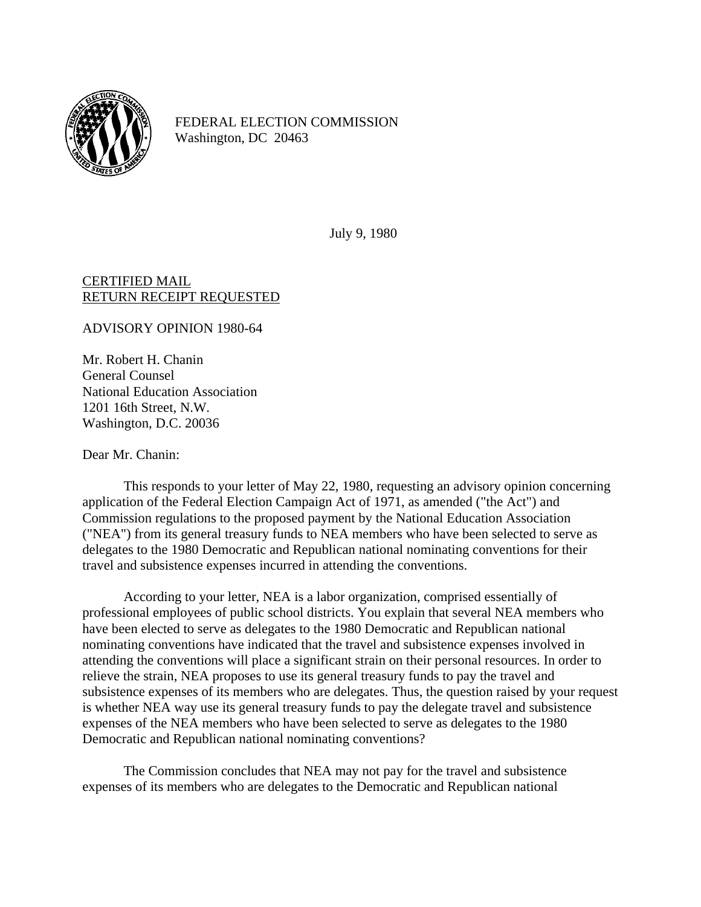

FEDERAL ELECTION COMMISSION Washington, DC 20463

July 9, 1980

## CERTIFIED MAIL RETURN RECEIPT REQUESTED

ADVISORY OPINION 1980-64

Mr. Robert H. Chanin General Counsel National Education Association 1201 16th Street, N.W. Washington, D.C. 20036

Dear Mr. Chanin:

This responds to your letter of May 22, 1980, requesting an advisory opinion concerning application of the Federal Election Campaign Act of 1971, as amended ("the Act") and Commission regulations to the proposed payment by the National Education Association ("NEA") from its general treasury funds to NEA members who have been selected to serve as delegates to the 1980 Democratic and Republican national nominating conventions for their travel and subsistence expenses incurred in attending the conventions.

According to your letter, NEA is a labor organization, comprised essentially of professional employees of public school districts. You explain that several NEA members who have been elected to serve as delegates to the 1980 Democratic and Republican national nominating conventions have indicated that the travel and subsistence expenses involved in attending the conventions will place a significant strain on their personal resources. In order to relieve the strain, NEA proposes to use its general treasury funds to pay the travel and subsistence expenses of its members who are delegates. Thus, the question raised by your request is whether NEA way use its general treasury funds to pay the delegate travel and subsistence expenses of the NEA members who have been selected to serve as delegates to the 1980 Democratic and Republican national nominating conventions?

The Commission concludes that NEA may not pay for the travel and subsistence expenses of its members who are delegates to the Democratic and Republican national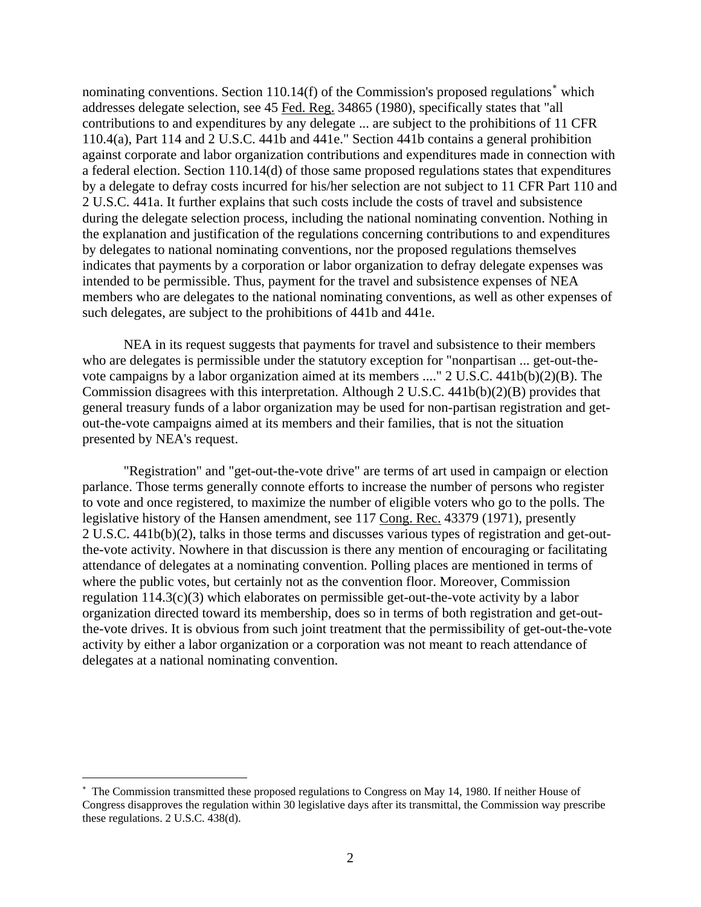nominating conventions. Section 110.14(f) of the Commission's proposed regulations<sup>\*</sup> which addresses delegate selection, see 45 Fed. Reg. 34865 (1980), specifically states that "all contributions to and expenditures by any delegate ... are subject to the prohibitions of 11 CFR 110.4(a), Part 114 and 2 U.S.C. 441b and 441e." Section 441b contains a general prohibition against corporate and labor organization contributions and expenditures made in connection with a federal election. Section 110.14(d) of those same proposed regulations states that expenditures by a delegate to defray costs incurred for his/her selection are not subject to 11 CFR Part 110 and 2 U.S.C. 441a. It further explains that such costs include the costs of travel and subsistence during the delegate selection process, including the national nominating convention. Nothing in the explanation and justification of the regulations concerning contributions to and expenditures by delegates to national nominating conventions, nor the proposed regulations themselves indicates that payments by a corporation or labor organization to defray delegate expenses was intended to be permissible. Thus, payment for the travel and subsistence expenses of NEA members who are delegates to the national nominating conventions, as well as other expenses of such delegates, are subject to the prohibitions of 441b and 441e.

NEA in its request suggests that payments for travel and subsistence to their members who are delegates is permissible under the statutory exception for "nonpartisan ... get-out-thevote campaigns by a labor organization aimed at its members ...." 2 U.S.C. 441b(b)(2)(B). The Commission disagrees with this interpretation. Although 2 U.S.C.  $441b(b)(2)(B)$  provides that general treasury funds of a labor organization may be used for non-partisan registration and getout-the-vote campaigns aimed at its members and their families, that is not the situation presented by NEA's request.

"Registration" and "get-out-the-vote drive" are terms of art used in campaign or election parlance. Those terms generally connote efforts to increase the number of persons who register to vote and once registered, to maximize the number of eligible voters who go to the polls. The legislative history of the Hansen amendment, see 117 Cong. Rec. 43379 (1971), presently 2 U.S.C. 441b(b)(2), talks in those terms and discusses various types of registration and get-outthe-vote activity. Nowhere in that discussion is there any mention of encouraging or facilitating attendance of delegates at a nominating convention. Polling places are mentioned in terms of where the public votes, but certainly not as the convention floor. Moreover, Commission regulation 114.3(c)(3) which elaborates on permissible get-out-the-vote activity by a labor organization directed toward its membership, does so in terms of both registration and get-outthe-vote drives. It is obvious from such joint treatment that the permissibility of get-out-the-vote activity by either a labor organization or a corporation was not meant to reach attendance of delegates at a national nominating convention.

1

<span id="page-1-0"></span><sup>∗</sup> The Commission transmitted these proposed regulations to Congress on May 14, 1980. If neither House of Congress disapproves the regulation within 30 legislative days after its transmittal, the Commission way prescribe these regulations. 2 U.S.C. 438(d).